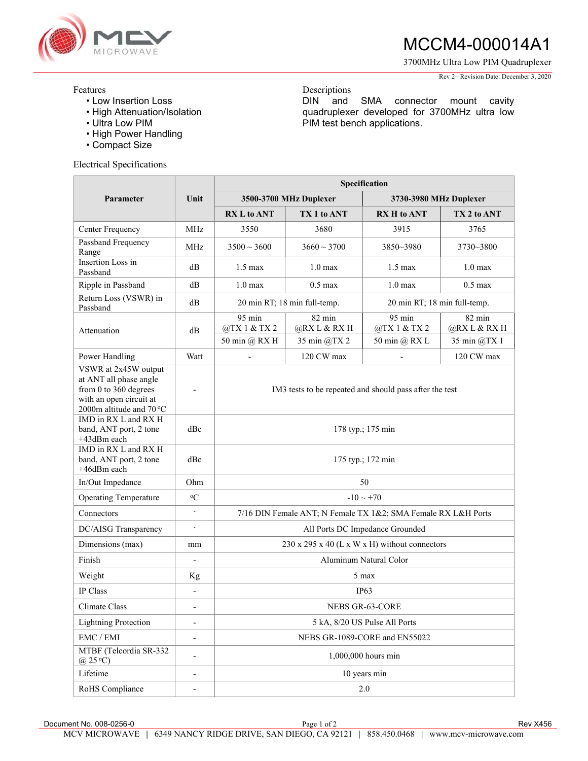

Features

# MCCM4-000014A1

3700MHz Ultra Low PIM Quadruplexer

#### Rev 2– Revision Date: December 3, 2020

# Descriptions

DIN and SMA connector mount cavity quadruplexer developed for 3700MHz ultra low PIM test bench applications.

- Low Insertion Loss
- High Attenuation/Isolation
- Ultra Low PIM
- High Power Handling
- Compact Size

## Electrical Specifications

|                                                                                                                                | Unit                         | Specification                                                 |                                                              |                                  |                                  |
|--------------------------------------------------------------------------------------------------------------------------------|------------------------------|---------------------------------------------------------------|--------------------------------------------------------------|----------------------------------|----------------------------------|
| Parameter                                                                                                                      |                              | 3500-3700 MHz Duplexer                                        |                                                              | 3730-3980 MHz Duplexer           |                                  |
|                                                                                                                                |                              | <b>RX L to ANT</b>                                            | TX 1 to ANT                                                  | <b>RX H</b> to ANT               | TX 2 to ANT                      |
| Center Frequency                                                                                                               | MHz                          | 3550                                                          | 3680                                                         | 3915                             | 3765                             |
| Passband Frequency<br>Range                                                                                                    | <b>MHz</b>                   | $3500 \sim 3600$                                              | $3660 \sim 3700$                                             | 3850~3980                        | 3730~3800                        |
| Insertion Loss in<br>Passband                                                                                                  | dВ                           | $1.5 \text{ max}$                                             | $1.0 \text{ max}$                                            | $1.5 \text{ max}$                | 1.0 <sub>max</sub>               |
| Ripple in Passband                                                                                                             | dВ                           | 1.0 <sub>max</sub>                                            | $0.5 \text{ max}$                                            | 1.0 <sub>max</sub>               | $0.5$ max                        |
| Return Loss (VSWR) in<br>Passband                                                                                              | dB                           |                                                               | 20 min RT; 18 min full-temp.<br>20 min RT; 18 min full-temp. |                                  |                                  |
| Attenuation                                                                                                                    | dB                           | $95 \text{ min}$<br>@TX 1 & TX 2                              | $82 \text{ min}$<br>@RX L & RX H                             | $95 \text{ min}$<br>@TX 1 & TX 2 | $82 \text{ min}$<br>@RX L & RX H |
|                                                                                                                                |                              | 50 min @ RX H                                                 | 35 min @TX 2                                                 | 50 min @ RX L                    | 35 min @TX 1                     |
| Power Handling                                                                                                                 | Watt                         |                                                               | 120 CW max                                                   |                                  | 120 CW max                       |
| VSWR at 2x45W output<br>at ANT all phase angle<br>from 0 to 360 degrees<br>with an open circuit at<br>2000m altitude and 70 °C |                              | IM3 tests to be repeated and should pass after the test       |                                                              |                                  |                                  |
| IMD in RX L and RX H<br>band, ANT port, 2 tone<br>+43dBm each                                                                  | dBc                          | 178 typ.; 175 min                                             |                                                              |                                  |                                  |
| IMD in RX L and RX H<br>band, ANT port, 2 tone<br>+46dBm each                                                                  | dBc                          | 175 typ.; 172 min                                             |                                                              |                                  |                                  |
| In/Out Impedance                                                                                                               | Ohm                          | 50                                                            |                                                              |                                  |                                  |
| <b>Operating Temperature</b>                                                                                                   | $\rm ^{o}C$                  | $-10 \sim +70$                                                |                                                              |                                  |                                  |
| Connectors                                                                                                                     | $\frac{1}{2}$                | 7/16 DIN Female ANT; N Female TX 1&2; SMA Female RX L&H Ports |                                                              |                                  |                                  |
| DC/AISG Transparency                                                                                                           | $\overline{\phantom{a}}$     | All Ports DC Impedance Grounded                               |                                                              |                                  |                                  |
| Dimensions (max)                                                                                                               | mm                           | 230 x 295 x 40 (L x W x H) without connectors                 |                                                              |                                  |                                  |
| Finish                                                                                                                         | $\qquad \qquad \blacksquare$ | Aluminum Natural Color                                        |                                                              |                                  |                                  |
| Weight                                                                                                                         | Kg                           | 5 max                                                         |                                                              |                                  |                                  |
| IP Class                                                                                                                       |                              | IP <sub>63</sub>                                              |                                                              |                                  |                                  |
| Climate Class                                                                                                                  |                              | NEBS GR-63-CORE                                               |                                                              |                                  |                                  |
| <b>Lightning Protection</b>                                                                                                    | $\overline{\phantom{0}}$     | 5 kA, 8/20 US Pulse All Ports                                 |                                                              |                                  |                                  |
| EMC / EMI                                                                                                                      | $\overline{\phantom{0}}$     | NEBS GR-1089-CORE and EN55022                                 |                                                              |                                  |                                  |
| MTBF (Telcordia SR-332<br>$(25^{\circ}C)$                                                                                      |                              | 1,000,000 hours min                                           |                                                              |                                  |                                  |
| Lifetime                                                                                                                       | $\overline{a}$               | 10 years min                                                  |                                                              |                                  |                                  |
| RoHS Compliance                                                                                                                |                              | $2.0\,$                                                       |                                                              |                                  |                                  |

Document No. 008-0256-0 **Page 1 of 2** Rev X456 **Page 1 of 2** Rev X456 MCV MICROWAVE **|** 6349 NANCY RIDGE DRIVE, SAN DIEGO, CA 92121 | 858.450.0468 **|** www.mcv-microwave.com